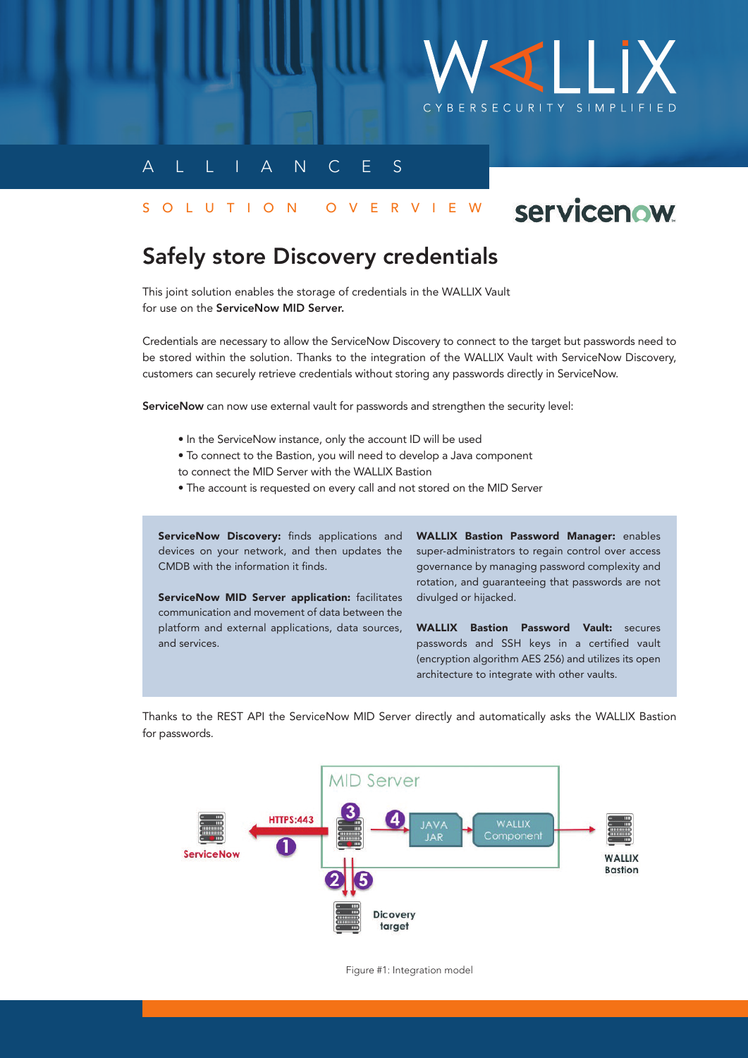

## A L L I A N C E S

### S O L U T I O N O V E R V I E W

# servicenow

# Safely store Discovery credentials

This joint solution enables the storage of credentials in the WALLIX Vault for use on the ServiceNow MID Server.

Credentials are necessary to allow the ServiceNow Discovery to connect to the target but passwords need to be stored within the solution. Thanks to the integration of the WALLIX Vault with ServiceNow Discovery, customers can securely retrieve credentials without storing any passwords directly in ServiceNow.

ServiceNow can now use external vault for passwords and strengthen the security level:

- In the ServiceNow instance, only the account ID will be used
- To connect to the Bastion, you will need to develop a Java component to connect the MID Server with the WALLIX Bastion
- The account is requested on every call and not stored on the MID Server

ServiceNow Discovery: finds applications and devices on your network, and then updates the CMDB with the information it finds.

ServiceNow MID Server application: facilitates communication and movement of data between the platform and external applications, data sources, and services.

WALLIX Bastion Password Manager: enables super-administrators to regain control over access governance by managing password complexity and rotation, and guaranteeing that passwords are not divulged or hijacked.

WALLIX Bastion Password Vault: secures passwords and SSH keys in a certified vault (encryption algorithm AES 256) and utilizes its open architecture to integrate with other vaults.

Thanks to the REST API the ServiceNow MID Server directly and automatically asks the WALLIX Bastion for passwords.



Figure #1: Integration model